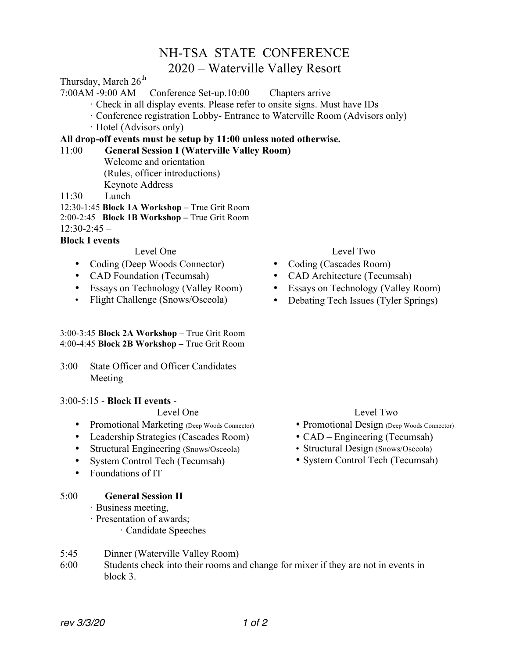## NH-TSA STATE CONFERENCE

### 2020 – Waterville Valley Resort

Thursday, March  $26<sup>th</sup>$ 

7:00AM -9:00 AM Conference Set-up.10:00 Chapters arrive

- · Check in all display events. Please refer to onsite signs. Must have IDs
- · Conference registration Lobby- Entrance to Waterville Room (Advisors only)
- · Hotel (Advisors only)

#### **All drop-off events must be setup by 11:00 unless noted otherwise.**

#### 11:00 **General Session I (Waterville Valley Room)**

Welcome and orientation (Rules, officer introductions) Keynote Address

11:30 Lunch

12:30-1:45 **Block 1A Workshop –** True Grit Room 2:00-2:45 **Block 1B Workshop –** True Grit Room

 $12.30 - 2.45 -$ 

#### **Block I events** –

Level One

- Coding (Deep Woods Connector)
- CAD Foundation (Tecumsah)
- Essays on Technology (Valley Room)
- Flight Challenge (Snows/Osceola)

#### 3:00-3:45 **Block 2A Workshop –** True Grit Room 4:00-4:45 **Block 2B Workshop –** True Grit Room

3:00 State Officer and Officer Candidates Meeting

#### 3:00-5:15 - **Block II events** -

#### Level One

- Promotional Marketing (Deep Woods Connector)
- Leadership Strategies (Cascades Room)
- Structural Engineering (Snows/Osceola)
- System Control Tech (Tecumsah)
- Foundations of IT

#### 5:00 **General Session II**

- · Business meeting,
- · Presentation of awards;
	- · Candidate Speeches
- 5:45 Dinner (Waterville Valley Room)
- 6:00 Students check into their rooms and change for mixer if they are not in events in block 3.

#### Level Two

- Coding (Cascades Room)
- CAD Architecture (Tecumsah)
- Essays on Technology (Valley Room)
- Debating Tech Issues (Tyler Springs)

#### Level Two

- Promotional Design (Deep Woods Connector)
- CAD Engineering (Tecumsah)
- Structural Design (Snows/Osceola)
- System Control Tech (Tecumsah)